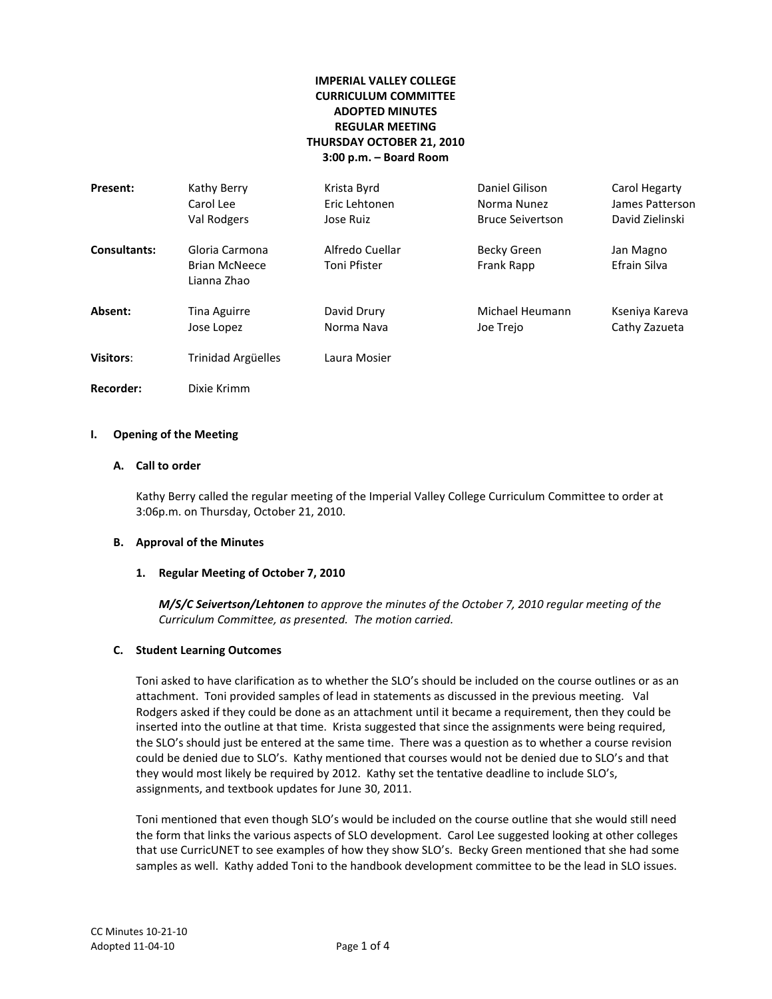# **IMPERIAL VALLEY COLLEGE CURRICULUM COMMITTEE ADOPTED MINUTES REGULAR MEETING THURSDAY OCTOBER 21, 2010 3:00 p.m. – Board Room**

| Present:            | Kathy Berry                                           | Krista Byrd                     | Daniel Gilison            | Carol Hegarty             |
|---------------------|-------------------------------------------------------|---------------------------------|---------------------------|---------------------------|
|                     | Carol Lee                                             | Eric Lehtonen                   | Norma Nunez               | James Patterson           |
|                     | Val Rodgers                                           | Jose Ruiz                       | <b>Bruce Seivertson</b>   | David Zielinski           |
| <b>Consultants:</b> | Gloria Carmona<br><b>Brian McNeece</b><br>Lianna Zhao | Alfredo Cuellar<br>Toni Pfister | Becky Green<br>Frank Rapp | Jan Magno<br>Efrain Silva |
| Absent:             | <b>Tina Aguirre</b>                                   | David Drury                     | Michael Heumann           | Kseniya Kareva            |
|                     | Jose Lopez                                            | Norma Nava                      | Joe Trejo                 | Cathy Zazueta             |
| <b>Visitors:</b>    | Trinidad Argüelles                                    | Laura Mosier                    |                           |                           |

**Recorder:** Dixie Krimm

#### **I. Opening of the Meeting**

## **A. Call to order**

Kathy Berry called the regular meeting of the Imperial Valley College Curriculum Committee to order at 3:06p.m. on Thursday, October 21, 2010.

#### **B. Approval of the Minutes**

#### **1. Regular Meeting of October 7, 2010**

*M/S/C Seivertson/Lehtonen to approve the minutes of the October 7, 2010 regular meeting of the Curriculum Committee, as presented. The motion carried.*

#### **C. Student Learning Outcomes**

Toni asked to have clarification as to whether the SLO's should be included on the course outlines or as an attachment. Toni provided samples of lead in statements as discussed in the previous meeting. Val Rodgers asked if they could be done as an attachment until it became a requirement, then they could be inserted into the outline at that time. Krista suggested that since the assignments were being required, the SLO's should just be entered at the same time. There was a question as to whether a course revision could be denied due to SLO's. Kathy mentioned that courses would not be denied due to SLO's and that they would most likely be required by 2012. Kathy set the tentative deadline to include SLO's, assignments, and textbook updates for June 30, 2011.

Toni mentioned that even though SLO's would be included on the course outline that she would still need the form that links the various aspects of SLO development. Carol Lee suggested looking at other colleges that use CurricUNET to see examples of how they show SLO's. Becky Green mentioned that she had some samples as well. Kathy added Toni to the handbook development committee to be the lead in SLO issues.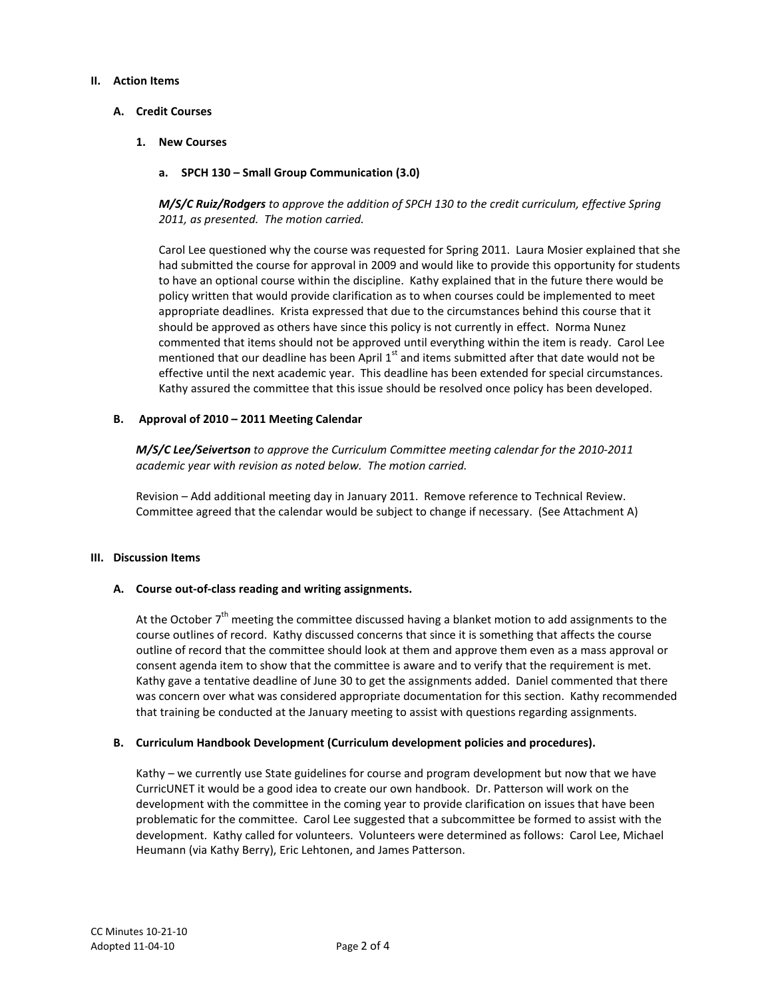#### **II. Action Items**

# **A. Credit Courses**

**1. New Courses**

# **a. SPCH 130 – Small Group Communication (3.0)**

*M/S/C Ruiz/Rodgers to approve the addition of SPCH 130 to the credit curriculum, effective Spring 2011, as presented. The motion carried.*

Carol Lee questioned why the course was requested for Spring 2011. Laura Mosier explained that she had submitted the course for approval in 2009 and would like to provide this opportunity for students to have an optional course within the discipline. Kathy explained that in the future there would be policy written that would provide clarification as to when courses could be implemented to meet appropriate deadlines. Krista expressed that due to the circumstances behind this course that it should be approved as others have since this policy is not currently in effect. Norma Nunez commented that items should not be approved until everything within the item is ready. Carol Lee mentioned that our deadline has been April  $1<sup>st</sup>$  and items submitted after that date would not be effective until the next academic year. This deadline has been extended for special circumstances. Kathy assured the committee that this issue should be resolved once policy has been developed.

## **B. Approval of 2010 – 2011 Meeting Calendar**

*M/S/C Lee/Seivertson to approve the Curriculum Committee meeting calendar for the 2010-2011 academic year with revision as noted below. The motion carried.*

Revision – Add additional meeting day in January 2011. Remove reference to Technical Review. Committee agreed that the calendar would be subject to change if necessary. (See Attachment A)

## **III. Discussion Items**

## **A. Course out-of-class reading and writing assignments.**

At the October  $7<sup>th</sup>$  meeting the committee discussed having a blanket motion to add assignments to the course outlines of record. Kathy discussed concerns that since it is something that affects the course outline of record that the committee should look at them and approve them even as a mass approval or consent agenda item to show that the committee is aware and to verify that the requirement is met. Kathy gave a tentative deadline of June 30 to get the assignments added. Daniel commented that there was concern over what was considered appropriate documentation for this section. Kathy recommended that training be conducted at the January meeting to assist with questions regarding assignments.

## **B. Curriculum Handbook Development (Curriculum development policies and procedures).**

Kathy – we currently use State guidelines for course and program development but now that we have CurricUNET it would be a good idea to create our own handbook. Dr. Patterson will work on the development with the committee in the coming year to provide clarification on issues that have been problematic for the committee. Carol Lee suggested that a subcommittee be formed to assist with the development. Kathy called for volunteers. Volunteers were determined as follows: Carol Lee, Michael Heumann (via Kathy Berry), Eric Lehtonen, and James Patterson.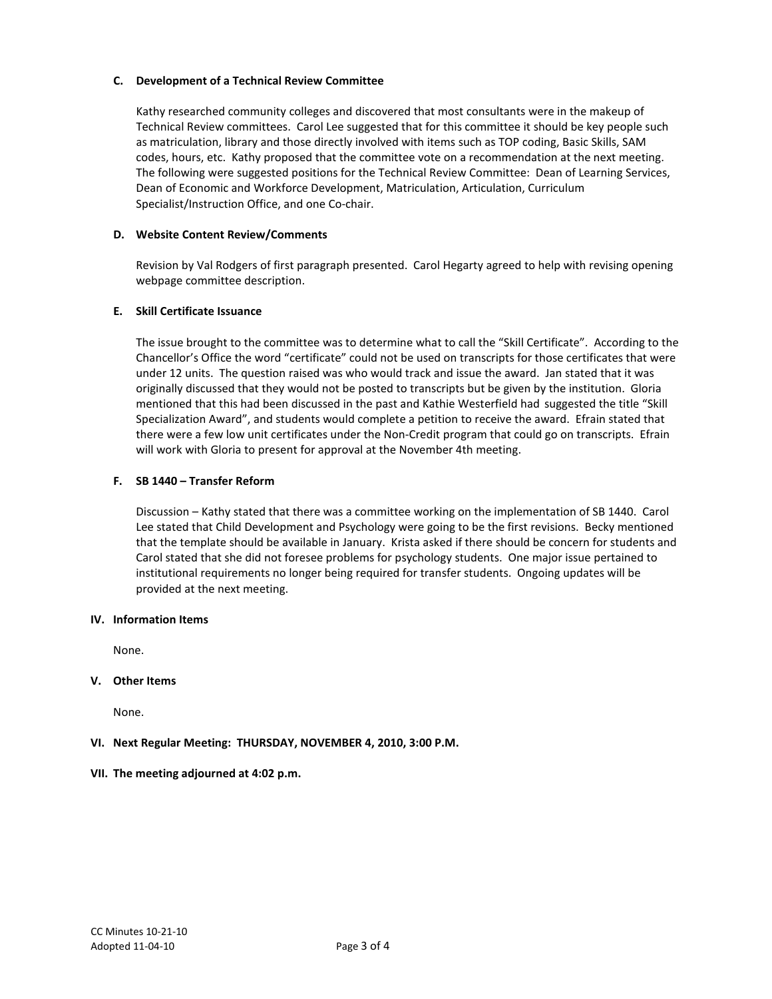# **C. Development of a Technical Review Committee**

Kathy researched community colleges and discovered that most consultants were in the makeup of Technical Review committees. Carol Lee suggested that for this committee it should be key people such as matriculation, library and those directly involved with items such as TOP coding, Basic Skills, SAM codes, hours, etc. Kathy proposed that the committee vote on a recommendation at the next meeting. The following were suggested positions for the Technical Review Committee: Dean of Learning Services, Dean of Economic and Workforce Development, Matriculation, Articulation, Curriculum Specialist/Instruction Office, and one Co-chair.

## **D. Website Content Review/Comments**

Revision by Val Rodgers of first paragraph presented. Carol Hegarty agreed to help with revising opening webpage committee description.

#### **E. Skill Certificate Issuance**

The issue brought to the committee was to determine what to call the "Skill Certificate". According to the Chancellor's Office the word "certificate" could not be used on transcripts for those certificates that were under 12 units. The question raised was who would track and issue the award. Jan stated that it was originally discussed that they would not be posted to transcripts but be given by the institution. Gloria mentioned that this had been discussed in the past and Kathie Westerfield had suggested the title "Skill Specialization Award", and students would complete a petition to receive the award. Efrain stated that there were a few low unit certificates under the Non-Credit program that could go on transcripts. Efrain will work with Gloria to present for approval at the November 4th meeting.

#### **F. SB 1440 – Transfer Reform**

Discussion – Kathy stated that there was a committee working on the implementation of SB 1440. Carol Lee stated that Child Development and Psychology were going to be the first revisions. Becky mentioned that the template should be available in January. Krista asked if there should be concern for students and Carol stated that she did not foresee problems for psychology students. One major issue pertained to institutional requirements no longer being required for transfer students. Ongoing updates will be provided at the next meeting.

#### **IV. Information Items**

None.

## **V. Other Items**

None.

## **VI. Next Regular Meeting: THURSDAY, NOVEMBER 4, 2010, 3:00 P.M.**

## **VII. The meeting adjourned at 4:02 p.m.**